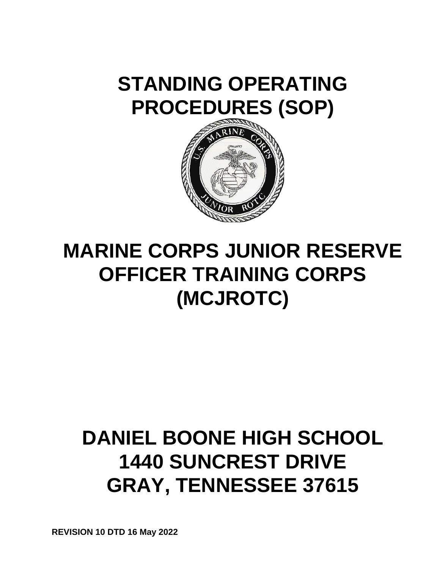



# **MARINE CORPS JUNIOR RESERVE OFFICER TRAINING CORPS (MCJROTC)**

# **DANIEL BOONE HIGH SCHOOL 1440 SUNCREST DRIVE GRAY, TENNESSEE 37615**

**REVISION 10 DTD 16 May 2022**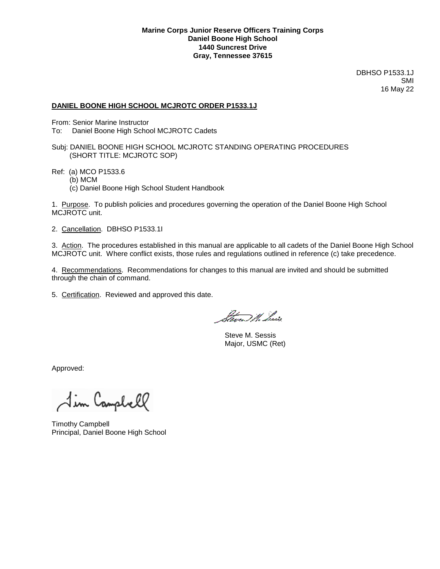#### **DANIEL BOONE HIGH SCHOOL MCJROTC ORDER P1533.1J**

From: Senior Marine Instructor

- To: Daniel Boone High School MCJROTC Cadets
- Subj: DANIEL BOONE HIGH SCHOOL MCJROTC STANDING OPERATING PROCEDURES (SHORT TITLE: MCJROTC SOP)
- Ref: (a) MCO P1533.6
	- (b) MCM
	- (c) Daniel Boone High School Student Handbook

1. Purpose. To publish policies and procedures governing the operation of the Daniel Boone High School MCJROTC unit.

2. Cancellation. DBHSO P1533.1I

3. Action. The procedures established in this manual are applicable to all cadets of the Daniel Boone High School MCJROTC unit. Where conflict exists, those rules and regulations outlined in reference (c) take precedence.

4. Recommendations. Recommendations for changes to this manual are invited and should be submitted through the chain of command.

5. Certification. Reviewed and approved this date.

blance, W. Presis

 Steve M. Sessis Major, USMC (Ret)

Approved:

Jim Campbell

Timothy Campbell Principal, Daniel Boone High School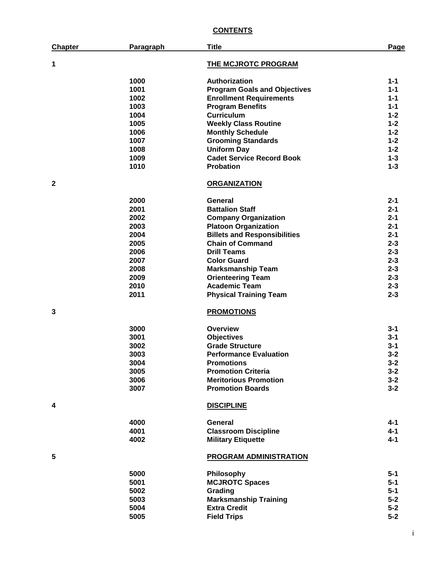# **CONTENTS**

| <b>Chapter</b> | Paragraph | <b>Title</b>                        | Page    |
|----------------|-----------|-------------------------------------|---------|
| 1              |           | <b>THE MCJROTC PROGRAM</b>          |         |
|                | 1000      | Authorization                       | 1-1     |
|                | 1001      | <b>Program Goals and Objectives</b> | 1-1     |
|                | 1002      | <b>Enrollment Requirements</b>      | 1-1     |
|                | 1003      | <b>Program Benefits</b>             | 1-1     |
|                | 1004      | <b>Curriculum</b>                   | $1 - 2$ |
|                | 1005      | <b>Weekly Class Routine</b>         | $1 - 2$ |
|                | 1006      | <b>Monthly Schedule</b>             | $1 - 2$ |
|                | 1007      | <b>Grooming Standards</b>           | $1 - 2$ |
|                | 1008      | <b>Uniform Day</b>                  | $1 - 2$ |
|                | 1009      | <b>Cadet Service Record Book</b>    | $1 - 3$ |
|                | 1010      | <b>Probation</b>                    | $1 - 3$ |
| $\mathbf{2}$   |           | <b>ORGANIZATION</b>                 |         |
|                | 2000      | General                             | $2 - 1$ |
|                | 2001      | <b>Battalion Staff</b>              | $2 - 1$ |
|                | 2002      | <b>Company Organization</b>         | $2 - 1$ |
|                | 2003      | <b>Platoon Organization</b>         | $2 - 1$ |
|                | 2004      | <b>Billets and Responsibilities</b> | $2 - 1$ |
|                | 2005      | <b>Chain of Command</b>             | $2 - 3$ |
|                | 2006      | <b>Drill Teams</b>                  | $2 - 3$ |
|                | 2007      | <b>Color Guard</b>                  | $2 - 3$ |
|                | 2008      | <b>Marksmanship Team</b>            | $2 - 3$ |
|                | 2009      | <b>Orienteering Team</b>            | $2 - 3$ |
|                | 2010      | <b>Academic Team</b>                | $2 - 3$ |
|                | 2011      | <b>Physical Training Team</b>       | $2 - 3$ |
| 3              |           | <b>PROMOTIONS</b>                   |         |
|                | 3000      | Overview                            | $3 - 1$ |
|                | 3001      | <b>Objectives</b>                   | 3-1     |
|                | 3002      | <b>Grade Structure</b>              | 3-1     |
|                | 3003      | <b>Performance Evaluation</b>       | $3 - 2$ |
|                | 3004      | <b>Promotions</b>                   | $3 - 2$ |
|                | 3005      | <b>Promotion Criteria</b>           | $3 - 2$ |
|                | 3006      | <b>Meritorious Promotion</b>        | $3 - 2$ |
|                | 3007      | <b>Promotion Boards</b>             | $3 - 2$ |
| 4              |           | <b>DISCIPLINE</b>                   |         |
|                | 4000      | <b>General</b>                      | 4-1     |
|                | 4001      | <b>Classroom Discipline</b>         | $4 - 1$ |
|                | 4002      | <b>Military Etiquette</b>           | $4 - 1$ |
| 5              |           | <b>PROGRAM ADMINISTRATION</b>       |         |
|                | 5000      | Philosophy                          | $5 - 1$ |
|                | 5001      | <b>MCJROTC Spaces</b>               | $5 - 1$ |
|                | 5002      | Grading                             | $5 - 1$ |
|                | 5003      | <b>Marksmanship Training</b>        | $5 - 2$ |
|                | 5004      | <b>Extra Credit</b>                 | $5-2$   |
|                | 5005      | <b>Field Trips</b>                  | $5-2$   |

i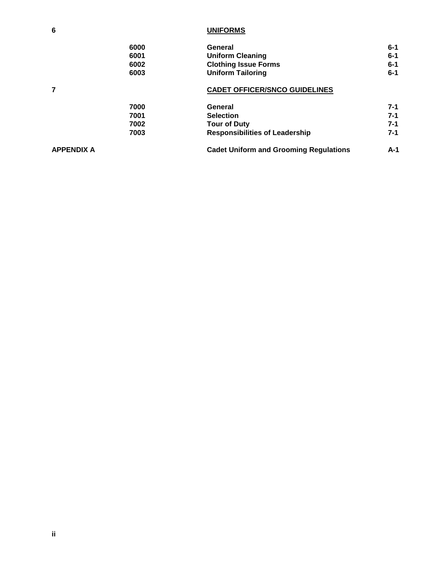# **6 UNIFORMS**

|                   | 6000 | <b>General</b>                                | $6 - 1$ |
|-------------------|------|-----------------------------------------------|---------|
|                   | 6001 | <b>Uniform Cleaning</b>                       | $6-1$   |
|                   | 6002 | <b>Clothing Issue Forms</b>                   | $6 - 1$ |
|                   | 6003 | <b>Uniform Tailoring</b>                      | $6 - 1$ |
| $\overline{7}$    |      | <b>CADET OFFICER/SNCO GUIDELINES</b>          |         |
|                   | 7000 | General                                       | $7-1$   |
|                   | 7001 | <b>Selection</b>                              | $7 - 1$ |
|                   | 7002 | <b>Tour of Duty</b>                           | $7 - 1$ |
|                   | 7003 | <b>Responsibilities of Leadership</b>         | $7 - 1$ |
| <b>APPENDIX A</b> |      | <b>Cadet Uniform and Grooming Regulations</b> | $A-1$   |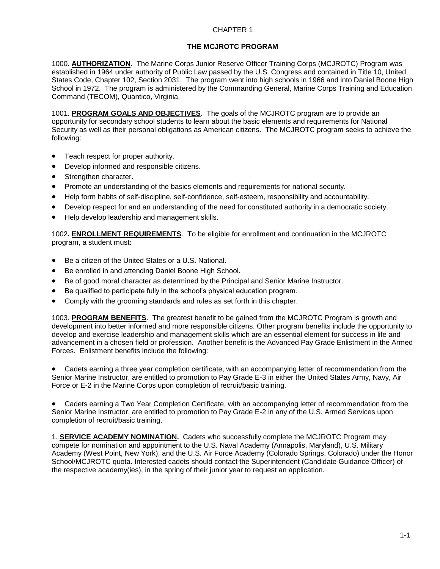# **THE MCJROTC PROGRAM**

1000. **AUTHORIZATION**. The Marine Corps Junior Reserve Officer Training Corps (MCJROTC) Program was established in 1964 under authority of Public Law passed by the U.S. Congress and contained in Title 10, United States Code, Chapter 102, Section 2031. The program went into high schools in 1966 and into Daniel Boone High School in 1972. The program is administered by the Commanding General, Marine Corps Training and Education Command (TECOM), Quantico, Virginia.

1001. **PROGRAM GOALS AND OBJECTIVES**. The goals of the MCJROTC program are to provide an opportunity for secondary school students to learn about the basic elements and requirements for National Security as well as their personal obligations as American citizens. The MCJROTC program seeks to achieve the following:

- Teach respect for proper authority.
- Develop informed and responsible citizens.
- Strengthen character.
- Promote an understanding of the basics elements and requirements for national security.
- Help form habits of self-discipline, self-confidence, self-esteem, responsibility and accountability.
- Develop respect for and an understanding of the need for constituted authority in a democratic society.
- Help develop leadership and management skills.

1002**. ENROLLMENT REQUIREMENTS**. To be eligible for enrollment and continuation in the MCJROTC program, a student must:

- Be a citizen of the United States or a U.S. National.
- Be enrolled in and attending Daniel Boone High School.
- Be of good moral character as determined by the Principal and Senior Marine Instructor.
- Be qualified to participate fully in the school's physical education program.
- Comply with the grooming standards and rules as set forth in this chapter.

1003. **PROGRAM BENEFITS**. The greatest benefit to be gained from the MCJROTC Program is growth and development into better informed and more responsible citizens. Other program benefits include the opportunity to develop and exercise leadership and management skills which are an essential element for success in life and advancement in a chosen field or profession. Another benefit is the Advanced Pay Grade Enlistment in the Armed Forces. Enlistment benefits include the following:

 Cadets earning a three year completion certificate, with an accompanying letter of recommendation from the Senior Marine Instructor, are entitled to promotion to Pay Grade E-3 in either the United States Army, Navy, Air Force or E-2 in the Marine Corps upon completion of recruit/basic training.

 Cadets earning a Two Year Completion Certificate, with an accompanying letter of recommendation from the Senior Marine Instructor, are entitled to promotion to Pay Grade E-2 in any of the U.S. Armed Services upon completion of recruit/basic training.

1. **SERVICE ACADEMY NOMINATION.** Cadets who successfully complete the MCJROTC Program may compete for nomination and appointment to the U.S. Naval Academy (Annapolis, Maryland), U.S. Military Academy (West Point, New York), and the U.S. Air Force Academy (Colorado Springs, Colorado) under the Honor School/MCJROTC quota. Interested cadets should contact the Superintendent (Candidate Guidance Officer) of the respective academy(ies), in the spring of their junior year to request an application.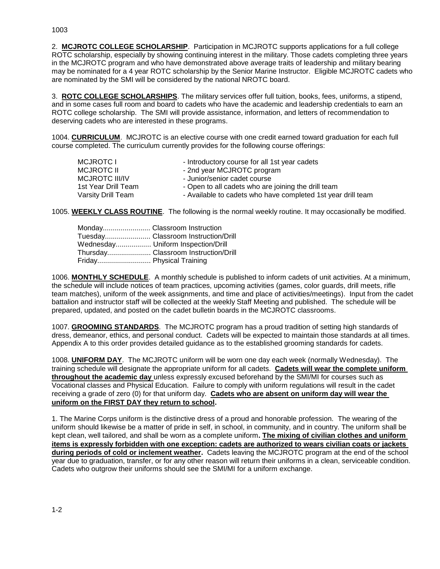2. **MCJROTC COLLEGE SCHOLARSHIP**. Participation in MCJROTC supports applications for a full college ROTC scholarship, especially by showing continuing interest in the military. Those cadets completing three years in the MCJROTC program and who have demonstrated above average traits of leadership and military bearing may be nominated for a 4 year ROTC scholarship by the Senior Marine Instructor. Eligible MCJROTC cadets who are nominated by the SMI will be considered by the national NROTC board.

3. **ROTC COLLEGE SCHOLARSHIPS**. The military services offer full tuition, books, fees, uniforms, a stipend, and in some cases full room and board to cadets who have the academic and leadership credentials to earn an ROTC college scholarship. The SMI will provide assistance, information, and letters of recommendation to deserving cadets who are interested in these programs.

1004. **CURRICULUM**. MCJROTC is an elective course with one credit earned toward graduation for each full course completed. The curriculum currently provides for the following course offerings:

| MCJROTC I           | - Introductory course for all 1st year cadets                |
|---------------------|--------------------------------------------------------------|
| MCJROTC II          | - 2nd year MCJROTC program                                   |
| MCJROTC III/IV      | - Junior/senior cadet course                                 |
| 1st Year Drill Team | - Open to all cadets who are joining the drill team          |
| Varsity Drill Team  | - Available to cadets who have completed 1st year drill team |

1005. **WEEKLY CLASS ROUTINE**. The following is the normal weekly routine. It may occasionally be modified.

| Tuesday Classroom Instruction/Drill  |
|--------------------------------------|
| Wednesday Uniform Inspection/Drill   |
| Thursday Classroom Instruction/Drill |
| Friday Physical Training             |

1006. **MONTHLY SCHEDULE**. A monthly schedule is published to inform cadets of unit activities. At a minimum, the schedule will include notices of team practices, upcoming activities (games, color guards, drill meets, rifle team matches), uniform of the week assignments, and time and place of activities/meetings). Input from the cadet battalion and instructor staff will be collected at the weekly Staff Meeting and published. The schedule will be prepared, updated, and posted on the cadet bulletin boards in the MCJROTC classrooms.

1007. **GROOMING STANDARDS**. The MCJROTC program has a proud tradition of setting high standards of dress, demeanor, ethics, and personal conduct. Cadets will be expected to maintain those standards at all times. Appendix A to this order provides detailed guidance as to the established grooming standards for cadets.

1008. **UNIFORM DAY**. The MCJROTC uniform will be worn one day each week (normally Wednesday). The training schedule will designate the appropriate uniform for all cadets. **Cadets will wear the complete uniform throughout the academic day** unless expressly excused beforehand by the SMI/MI for courses such as Vocational classes and Physical Education. Failure to comply with uniform regulations will result in the cadet receiving a grade of zero (0) for that uniform day. **Cadets who are absent on uniform day will wear the uniform on the FIRST DAY they return to school.**

1. The Marine Corps uniform is the distinctive dress of a proud and honorable profession. The wearing of the uniform should likewise be a matter of pride in self, in school, in community, and in country. The uniform shall be kept clean, well tailored, and shall be worn as a complete uniform**. The mixing of civilian clothes and uniform items is expressly forbidden with one exception: cadets are authorized to wears civilian coats or jackets during periods of cold or inclement weather.** Cadets leaving the MCJROTC program at the end of the school year due to graduation, transfer, or for any other reason will return their uniforms in a clean, serviceable condition. Cadets who outgrow their uniforms should see the SMI/MI for a uniform exchange.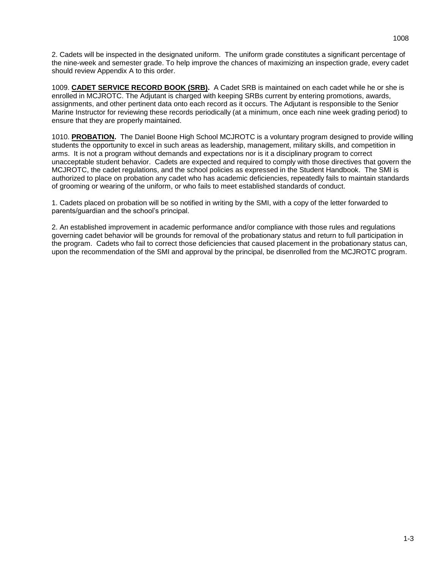2. Cadets will be inspected in the designated uniform. The uniform grade constitutes a significant percentage of the nine-week and semester grade. To help improve the chances of maximizing an inspection grade, every cadet should review Appendix A to this order.

1009. **CADET SERVICE RECORD BOOK (SRB).** A Cadet SRB is maintained on each cadet while he or she is enrolled in MCJROTC. The Adjutant is charged with keeping SRBs current by entering promotions, awards, assignments, and other pertinent data onto each record as it occurs. The Adjutant is responsible to the Senior Marine Instructor for reviewing these records periodically (at a minimum, once each nine week grading period) to ensure that they are properly maintained.

1010. **PROBATION.** The Daniel Boone High School MCJROTC is a voluntary program designed to provide willing students the opportunity to excel in such areas as leadership, management, military skills, and competition in arms. It is not a program without demands and expectations nor is it a disciplinary program to correct unacceptable student behavior. Cadets are expected and required to comply with those directives that govern the MCJROTC, the cadet regulations, and the school policies as expressed in the Student Handbook. The SMI is authorized to place on probation any cadet who has academic deficiencies, repeatedly fails to maintain standards of grooming or wearing of the uniform, or who fails to meet established standards of conduct.

1. Cadets placed on probation will be so notified in writing by the SMI, with a copy of the letter forwarded to parents/guardian and the school's principal.

2. An established improvement in academic performance and/or compliance with those rules and regulations governing cadet behavior will be grounds for removal of the probationary status and return to full participation in the program. Cadets who fail to correct those deficiencies that caused placement in the probationary status can, upon the recommendation of the SMI and approval by the principal, be disenrolled from the MCJROTC program.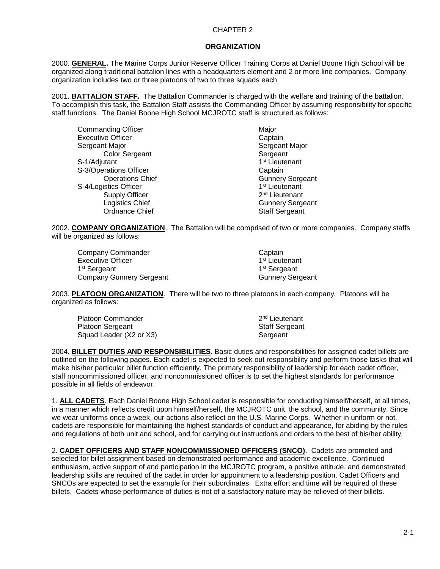#### **ORGANIZATION**

2000. **GENERAL.** The Marine Corps Junior Reserve Officer Training Corps at Daniel Boone High School will be organized along traditional battalion lines with a headquarters element and 2 or more line companies. Company organization includes two or three platoons of two to three squads each.

2001. **BATTALION STAFF.** The Battalion Commander is charged with the welfare and training of the battalion. To accomplish this task, the Battalion Staff assists the Commanding Officer by assuming responsibility for specific staff functions. The Daniel Boone High School MCJROTC staff is structured as follows:

| Major                      |
|----------------------------|
| Captain                    |
| Sergeant Major             |
| Sergeant                   |
| 1 <sup>st</sup> Lieutenant |
| Captain                    |
| <b>Gunnery Sergeant</b>    |
| 1 <sup>st</sup> Lieutenant |
| 2 <sup>nd</sup> Lieutenant |
| <b>Gunnery Sergeant</b>    |
| <b>Staff Sergeant</b>      |
|                            |

2002. **COMPANY ORGANIZATION**. The Battalion will be comprised of two or more companies. Company staffs will be organized as follows:

| Company Commander        | Captain                    |
|--------------------------|----------------------------|
| Executive Officer        | 1 <sup>st</sup> Lieutenant |
| 1 <sup>st</sup> Sergeant | 1 <sup>st</sup> Sergeant   |
| Company Gunnery Sergeant | <b>Gunnery Sergeant</b>    |

2003. **PLATOON ORGANIZATION**. There will be two to three platoons in each company. Platoons will be organized as follows:

| <b>Platoon Commander</b> | 2 <sup>nd</sup> Lieutenant |
|--------------------------|----------------------------|
| <b>Platoon Sergeant</b>  | <b>Staff Sergeant</b>      |
| Squad Leader (X2 or X3)  | Sergeant                   |

2004. **BILLET DUTIES AND RESPONSIBILITIES.** Basic duties and responsibilities for assigned cadet billets are outlined on the following pages. Each cadet is expected to seek out responsibility and perform those tasks that will make his/her particular billet function efficiently. The primary responsibility of leadership for each cadet officer, staff noncommissioned officer, and noncommissioned officer is to set the highest standards for performance possible in all fields of endeavor.

1. **ALL CADETS**. Each Daniel Boone High School cadet is responsible for conducting himself/herself, at all times, in a manner which reflects credit upon himself/herself, the MCJROTC unit, the school, and the community. Since we wear uniforms once a week, our actions also reflect on the U.S. Marine Corps. Whether in uniform or not, cadets are responsible for maintaining the highest standards of conduct and appearance, for abiding by the rules and regulations of both unit and school, and for carrying out instructions and orders to the best of his/her ability.

2. **CADET OFFICERS AND STAFF NONCOMMISSIONED OFFICERS (SNCO)**. Cadets are promoted and selected for billet assignment based on demonstrated performance and academic excellence. Continued enthusiasm, active support of and participation in the MCJROTC program, a positive attitude, and demonstrated leadership skills are required of the cadet in order for appointment to a leadership position. Cadet Officers and SNCOs are expected to set the example for their subordinates. Extra effort and time will be required of these billets. Cadets whose performance of duties is not of a satisfactory nature may be relieved of their billets.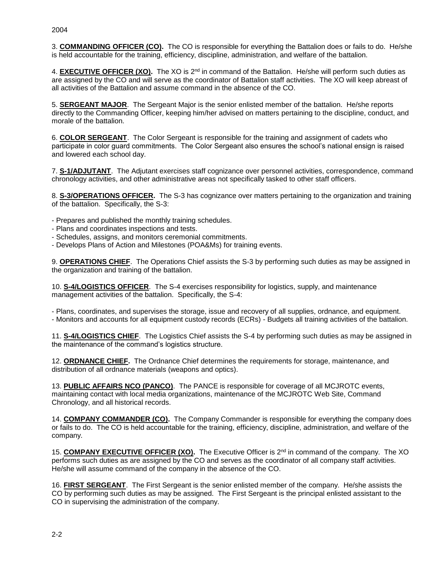3. **COMMANDING OFFICER (CO).** The CO is responsible for everything the Battalion does or fails to do. He/she is held accountable for the training, efficiency, discipline, administration, and welfare of the battalion.

4. **EXECUTIVE OFFICER (XO).** The XO is 2nd in command of the Battalion. He/she will perform such duties as are assigned by the CO and will serve as the coordinator of Battalion staff activities. The XO will keep abreast of all activities of the Battalion and assume command in the absence of the CO.

5. **SERGEANT MAJOR**. The Sergeant Major is the senior enlisted member of the battalion. He/she reports directly to the Commanding Officer, keeping him/her advised on matters pertaining to the discipline, conduct, and morale of the battalion.

6. **COLOR SERGEANT**. The Color Sergeant is responsible for the training and assignment of cadets who participate in color guard commitments. The Color Sergeant also ensures the school's national ensign is raised and lowered each school day.

7. **S-1/ADJUTANT**. The Adjutant exercises staff cognizance over personnel activities, correspondence, command chronology activities, and other administrative areas not specifically tasked to other staff officers.

8. **S-3/OPERATIONS OFFICER.** The S-3 has cognizance over matters pertaining to the organization and training of the battalion. Specifically, the S-3:

- Prepares and published the monthly training schedules.
- Plans and coordinates inspections and tests.
- Schedules, assigns, and monitors ceremonial commitments.
- Develops Plans of Action and Milestones (POA&Ms) for training events.

9. **OPERATIONS CHIEF**. The Operations Chief assists the S-3 by performing such duties as may be assigned in the organization and training of the battalion.

10. **S-4/LOGISTICS OFFICER**. The S-4 exercises responsibility for logistics, supply, and maintenance management activities of the battalion. Specifically, the S-4:

- Plans, coordinates, and supervises the storage, issue and recovery of all supplies, ordnance, and equipment.

- Monitors and accounts for all equipment custody records (ECRs) - Budgets all training activities of the battalion.

11. **S-4/LOGISTICS CHIEF**. The Logistics Chief assists the S-4 by performing such duties as may be assigned in the maintenance of the command's logistics structure.

12. **ORDNANCE CHIEF.** The Ordnance Chief determines the requirements for storage, maintenance, and distribution of all ordnance materials (weapons and optics).

13. **PUBLIC AFFAIRS NCO (PANCO)**. The PANCE is responsible for coverage of all MCJROTC events, maintaining contact with local media organizations, maintenance of the MCJROTC Web Site, Command Chronology, and all historical records.

14. **COMPANY COMMANDER (CO).** The Company Commander is responsible for everything the company does or fails to do. The CO is held accountable for the training, efficiency, discipline, administration, and welfare of the company.

15. **COMPANY EXECUTIVE OFFICER (XO).** The Executive Officer is 2nd in command of the company. The XO performs such duties as are assigned by the CO and serves as the coordinator of all company staff activities. He/she will assume command of the company in the absence of the CO.

16. **FIRST SERGEANT**. The First Sergeant is the senior enlisted member of the company. He/she assists the CO by performing such duties as may be assigned. The First Sergeant is the principal enlisted assistant to the CO in supervising the administration of the company.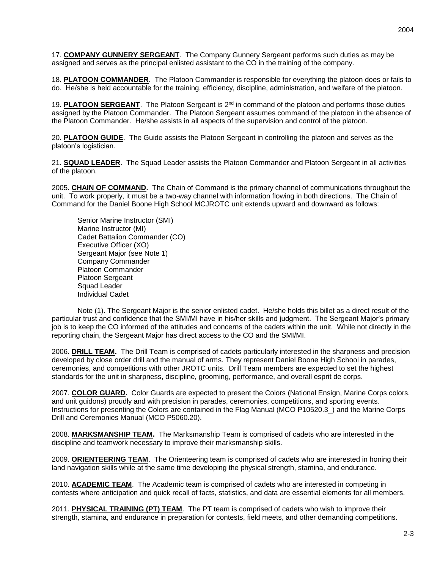17. **COMPANY GUNNERY SERGEANT**. The Company Gunnery Sergeant performs such duties as may be assigned and serves as the principal enlisted assistant to the CO in the training of the company.

18. **PLATOON COMMANDER**. The Platoon Commander is responsible for everything the platoon does or fails to do. He/she is held accountable for the training, efficiency, discipline, administration, and welfare of the platoon.

19. **PLATOON SERGEANT**. The Platoon Sergeant is 2nd in command of the platoon and performs those duties assigned by the Platoon Commander. The Platoon Sergeant assumes command of the platoon in the absence of the Platoon Commander. He/she assists in all aspects of the supervision and control of the platoon.

20. **PLATOON GUIDE**. The Guide assists the Platoon Sergeant in controlling the platoon and serves as the platoon's logistician.

21. **SQUAD LEADER**. The Squad Leader assists the Platoon Commander and Platoon Sergeant in all activities of the platoon.

2005. **CHAIN OF COMMAND.** The Chain of Command is the primary channel of communications throughout the unit. To work properly, it must be a two-way channel with information flowing in both directions. The Chain of Command for the Daniel Boone High School MCJROTC unit extends upward and downward as follows:

Senior Marine Instructor (SMI) Marine Instructor (MI) Cadet Battalion Commander (CO) Executive Officer (XO) Sergeant Major (see Note 1) Company Commander Platoon Commander Platoon Sergeant Squad Leader Individual Cadet

Note (1). The Sergeant Major is the senior enlisted cadet. He/she holds this billet as a direct result of the particular trust and confidence that the SMI/MI have in his/her skills and judgment. The Sergeant Major's primary job is to keep the CO informed of the attitudes and concerns of the cadets within the unit. While not directly in the reporting chain, the Sergeant Major has direct access to the CO and the SMI/MI.

2006. **DRILL TEAM.** The Drill Team is comprised of cadets particularly interested in the sharpness and precision developed by close order drill and the manual of arms. They represent Daniel Boone High School in parades, ceremonies, and competitions with other JROTC units. Drill Team members are expected to set the highest standards for the unit in sharpness, discipline, grooming, performance, and overall esprit de corps.

2007. **COLOR GUARD.** Color Guards are expected to present the Colors (National Ensign, Marine Corps colors, and unit guidons) proudly and with precision in parades, ceremonies, competitions, and sporting events. Instructions for presenting the Colors are contained in the Flag Manual (MCO P10520.3\_) and the Marine Corps Drill and Ceremonies Manual (MCO P5060.20).

2008. **MARKSMANSHIP TEAM.** The Marksmanship Team is comprised of cadets who are interested in the discipline and teamwork necessary to improve their marksmanship skills.

2009. **ORIENTEERING TEAM**. The Orienteering team is comprised of cadets who are interested in honing their land navigation skills while at the same time developing the physical strength, stamina, and endurance.

2010. **ACADEMIC TEAM**. The Academic team is comprised of cadets who are interested in competing in contests where anticipation and quick recall of facts, statistics, and data are essential elements for all members.

2011. **PHYSICAL TRAINING (PT) TEAM**. The PT team is comprised of cadets who wish to improve their strength, stamina, and endurance in preparation for contests, field meets, and other demanding competitions.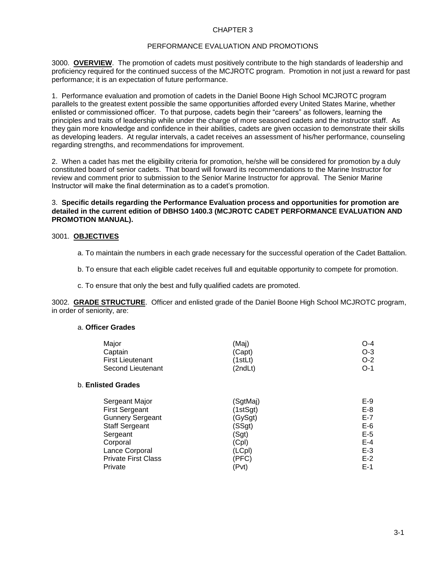# PERFORMANCE EVALUATION AND PROMOTIONS

3000. **OVERVIEW**. The promotion of cadets must positively contribute to the high standards of leadership and proficiency required for the continued success of the MCJROTC program. Promotion in not just a reward for past performance; it is an expectation of future performance.

1. Performance evaluation and promotion of cadets in the Daniel Boone High School MCJROTC program parallels to the greatest extent possible the same opportunities afforded every United States Marine, whether enlisted or commissioned officer. To that purpose, cadets begin their "careers" as followers, learning the principles and traits of leadership while under the charge of more seasoned cadets and the instructor staff. As they gain more knowledge and confidence in their abilities, cadets are given occasion to demonstrate their skills as developing leaders. At regular intervals, a cadet receives an assessment of his/her performance, counseling regarding strengths, and recommendations for improvement.

2. When a cadet has met the eligibility criteria for promotion, he/she will be considered for promotion by a duly constituted board of senior cadets. That board will forward its recommendations to the Marine Instructor for review and comment prior to submission to the Senior Marine Instructor for approval. The Senior Marine Instructor will make the final determination as to a cadet's promotion.

# 3. **Specific details regarding the Performance Evaluation process and opportunities for promotion are detailed in the current edition of DBHSO 1400.3 (MCJROTC CADET PERFORMANCE EVALUATION AND PROMOTION MANUAL).**

### 3001. **OBJECTIVES**

- a. To maintain the numbers in each grade necessary for the successful operation of the Cadet Battalion.
- b. To ensure that each eligible cadet receives full and equitable opportunity to compete for promotion.
- c. To ensure that only the best and fully qualified cadets are promoted.

3002. **GRADE STRUCTURE**. Officer and enlisted grade of the Daniel Boone High School MCJROTC program, in order of seniority, are:

### a. **Officer Grades**

| Maior                   | (Maj)   | O-4   |
|-------------------------|---------|-------|
| Captain                 | (Capt)  | $O-3$ |
| <b>First Lieutenant</b> | (1stLt) | $O-2$ |
| Second Lieutenant       | (2ndLt) | $O-1$ |
| b. Enlisted Grades      |         |       |

# Sergeant Major (SgtMaj) E-9 First Sergeant (1stSgt) E-8 Gunnery Sergeant **E-7** (GySgt) **E-7** Staff Sergeant E-6 (SSgt) E-6 Sergeant (Sgt) E-5 Corporal (Cpl) E-4 Lance Corporal (CPP) (LCpl) E-3<br>
Private First Class (PFC) Class (PFC) E-2 Private First Class (PFC) Private (Pvt) E-1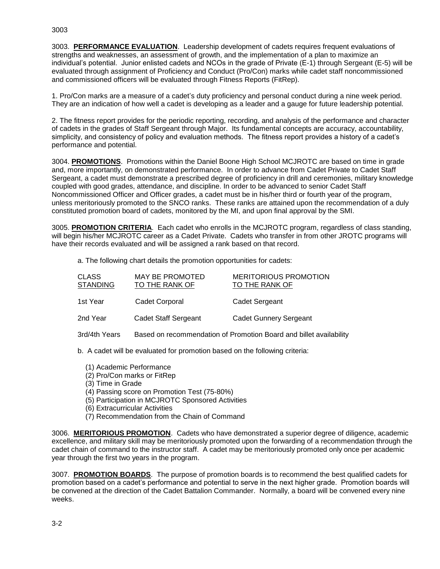3003. **PERFORMANCE EVALUATION**. Leadership development of cadets requires frequent evaluations of strengths and weaknesses, an assessment of growth, and the implementation of a plan to maximize an individual's potential. Junior enlisted cadets and NCOs in the grade of Private (E-1) through Sergeant (E-5) will be evaluated through assignment of Proficiency and Conduct (Pro/Con) marks while cadet staff noncommissioned and commissioned officers will be evaluated through Fitness Reports (FitRep).

1. Pro/Con marks are a measure of a cadet's duty proficiency and personal conduct during a nine week period. They are an indication of how well a cadet is developing as a leader and a gauge for future leadership potential.

2. The fitness report provides for the periodic reporting, recording, and analysis of the performance and character of cadets in the grades of Staff Sergeant through Major. Its fundamental concepts are accuracy, accountability, simplicity, and consistency of policy and evaluation methods. The fitness report provides a history of a cadet's performance and potential.

3004. **PROMOTIONS**. Promotions within the Daniel Boone High School MCJROTC are based on time in grade and, more importantly, on demonstrated performance. In order to advance from Cadet Private to Cadet Staff Sergeant, a cadet must demonstrate a prescribed degree of proficiency in drill and ceremonies, military knowledge coupled with good grades, attendance, and discipline. In order to be advanced to senior Cadet Staff Noncommissioned Officer and Officer grades, a cadet must be in his/her third or fourth year of the program, unless meritoriously promoted to the SNCO ranks. These ranks are attained upon the recommendation of a duly constituted promotion board of cadets, monitored by the MI, and upon final approval by the SMI.

3005. **PROMOTION CRITERIA**. Each cadet who enrolls in the MCJROTC program, regardless of class standing, will begin his/her MCJROTC career as a Cadet Private. Cadets who transfer in from other JROTC programs will have their records evaluated and will be assigned a rank based on that record.

a. The following chart details the promotion opportunities for cadets:

| <b>CLASS</b><br><b>STANDING</b> | <b>MAY BE PROMOTED</b><br>TO THE RANK OF | <b>MERITORIOUS PROMOTION</b><br>TO THE RANK OF |
|---------------------------------|------------------------------------------|------------------------------------------------|
| 1st Year                        | Cadet Corporal                           | Cadet Sergeant                                 |
| 2nd Year                        | Cadet Staff Sergeant                     | <b>Cadet Gunnery Sergeant</b>                  |

3rd/4th Years Based on recommendation of Promotion Board and billet availability

b. A cadet will be evaluated for promotion based on the following criteria:

- (1) Academic Performance
- (2) Pro/Con marks or FitRep
- (3) Time in Grade
- (4) Passing score on Promotion Test (75-80%)
- (5) Participation in MCJROTC Sponsored Activities
- (6) Extracurricular Activities
- (7) Recommendation from the Chain of Command

3006. **MERITORIOUS PROMOTION**. Cadets who have demonstrated a superior degree of diligence, academic excellence, and military skill may be meritoriously promoted upon the forwarding of a recommendation through the cadet chain of command to the instructor staff. A cadet may be meritoriously promoted only once per academic year through the first two years in the program.

3007. **PROMOTION BOARDS**. The purpose of promotion boards is to recommend the best qualified cadets for promotion based on a cadet's performance and potential to serve in the next higher grade. Promotion boards will be convened at the direction of the Cadet Battalion Commander. Normally, a board will be convened every nine weeks.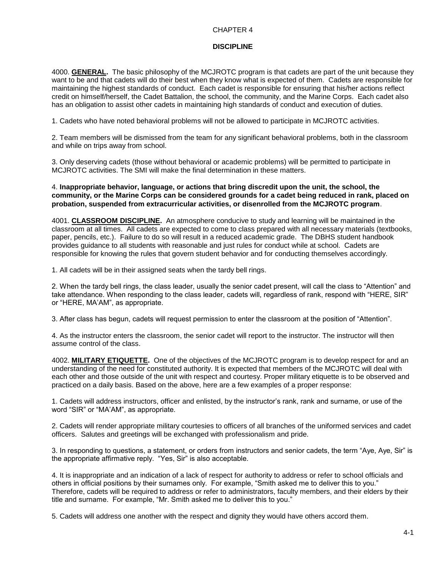# **DISCIPLINE**

4000. **GENERAL.** The basic philosophy of the MCJROTC program is that cadets are part of the unit because they want to be and that cadets will do their best when they know what is expected of them. Cadets are responsible for maintaining the highest standards of conduct. Each cadet is responsible for ensuring that his/her actions reflect credit on himself/herself, the Cadet Battalion, the school, the community, and the Marine Corps. Each cadet also has an obligation to assist other cadets in maintaining high standards of conduct and execution of duties.

1. Cadets who have noted behavioral problems will not be allowed to participate in MCJROTC activities.

2. Team members will be dismissed from the team for any significant behavioral problems, both in the classroom and while on trips away from school.

3. Only deserving cadets (those without behavioral or academic problems) will be permitted to participate in MCJROTC activities. The SMI will make the final determination in these matters.

4. **Inappropriate behavior, language, or actions that bring discredit upon the unit, the school, the community, or the Marine Corps can be considered grounds for a cadet being reduced in rank, placed on probation, suspended from extracurricular activities, or disenrolled from the MCJROTC program**.

4001. **CLASSROOM DISCIPLINE.** An atmosphere conducive to study and learning will be maintained in the classroom at all times. All cadets are expected to come to class prepared with all necessary materials (textbooks, paper, pencils, etc.). Failure to do so will result in a reduced academic grade. The DBHS student handbook provides guidance to all students with reasonable and just rules for conduct while at school. Cadets are responsible for knowing the rules that govern student behavior and for conducting themselves accordingly.

1. All cadets will be in their assigned seats when the tardy bell rings.

2. When the tardy bell rings, the class leader, usually the senior cadet present, will call the class to "Attention" and take attendance. When responding to the class leader, cadets will, regardless of rank, respond with "HERE, SIR" or "HERE, MA'AM", as appropriate.

3. After class has begun, cadets will request permission to enter the classroom at the position of "Attention".

4. As the instructor enters the classroom, the senior cadet will report to the instructor. The instructor will then assume control of the class.

4002. **MILITARY ETIQUETTE.** One of the objectives of the MCJROTC program is to develop respect for and an understanding of the need for constituted authority. It is expected that members of the MCJROTC will deal with each other and those outside of the unit with respect and courtesy. Proper military etiquette is to be observed and practiced on a daily basis. Based on the above, here are a few examples of a proper response:

1. Cadets will address instructors, officer and enlisted, by the instructor's rank, rank and surname, or use of the word "SIR" or "MA'AM", as appropriate.

2. Cadets will render appropriate military courtesies to officers of all branches of the uniformed services and cadet officers. Salutes and greetings will be exchanged with professionalism and pride.

3. In responding to questions, a statement, or orders from instructors and senior cadets, the term "Aye, Aye, Sir" is the appropriate affirmative reply. "Yes, Sir" is also acceptable.

4. It is inappropriate and an indication of a lack of respect for authority to address or refer to school officials and others in official positions by their surnames only. For example, "Smith asked me to deliver this to you." Therefore, cadets will be required to address or refer to administrators, faculty members, and their elders by their title and surname. For example, "Mr. Smith asked me to deliver this to you."

5. Cadets will address one another with the respect and dignity they would have others accord them.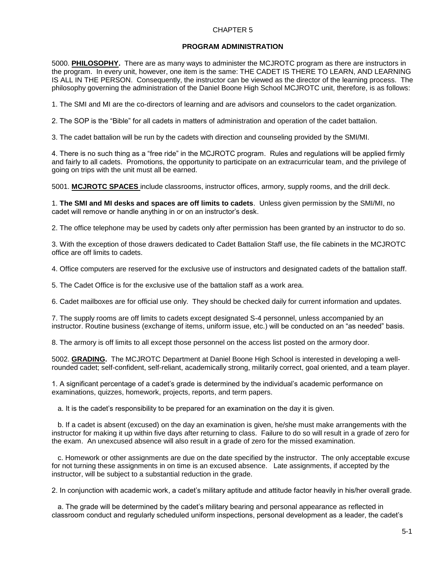#### **PROGRAM ADMINISTRATION**

5000. **PHILOSOPHY.** There are as many ways to administer the MCJROTC program as there are instructors in the program. In every unit, however, one item is the same: THE CADET IS THERE TO LEARN, AND LEARNING IS ALL IN THE PERSON. Consequently, the instructor can be viewed as the director of the learning process. The philosophy governing the administration of the Daniel Boone High School MCJROTC unit, therefore, is as follows:

1. The SMI and MI are the co-directors of learning and are advisors and counselors to the cadet organization.

2. The SOP is the "Bible" for all cadets in matters of administration and operation of the cadet battalion.

3. The cadet battalion will be run by the cadets with direction and counseling provided by the SMI/MI.

4. There is no such thing as a "free ride" in the MCJROTC program. Rules and regulations will be applied firmly and fairly to all cadets. Promotions, the opportunity to participate on an extracurricular team, and the privilege of going on trips with the unit must all be earned.

5001. **MCJROTC SPACES** include classrooms, instructor offices, armory, supply rooms, and the drill deck.

1. **The SMI and MI desks and spaces are off limits to cadets**. Unless given permission by the SMI/MI, no cadet will remove or handle anything in or on an instructor's desk.

2. The office telephone may be used by cadets only after permission has been granted by an instructor to do so.

3. With the exception of those drawers dedicated to Cadet Battalion Staff use, the file cabinets in the MCJROTC office are off limits to cadets.

4. Office computers are reserved for the exclusive use of instructors and designated cadets of the battalion staff.

5. The Cadet Office is for the exclusive use of the battalion staff as a work area.

6. Cadet mailboxes are for official use only. They should be checked daily for current information and updates.

7. The supply rooms are off limits to cadets except designated S-4 personnel, unless accompanied by an instructor. Routine business (exchange of items, uniform issue, etc.) will be conducted on an "as needed" basis.

8. The armory is off limits to all except those personnel on the access list posted on the armory door.

5002. **GRADING.** The MCJROTC Department at Daniel Boone High School is interested in developing a wellrounded cadet; self-confident, self-reliant, academically strong, militarily correct, goal oriented, and a team player.

1. A significant percentage of a cadet's grade is determined by the individual's academic performance on examinations, quizzes, homework, projects, reports, and term papers.

a. It is the cadet's responsibility to be prepared for an examination on the day it is given.

 b. If a cadet is absent (excused) on the day an examination is given, he/she must make arrangements with the instructor for making it up within five days after returning to class. Failure to do so will result in a grade of zero for the exam. An unexcused absence will also result in a grade of zero for the missed examination.

 c. Homework or other assignments are due on the date specified by the instructor. The only acceptable excuse for not turning these assignments in on time is an excused absence. Late assignments, if accepted by the instructor, will be subject to a substantial reduction in the grade.

2. In conjunction with academic work, a cadet's military aptitude and attitude factor heavily in his/her overall grade.

 a. The grade will be determined by the cadet's military bearing and personal appearance as reflected in classroom conduct and regularly scheduled uniform inspections, personal development as a leader, the cadet's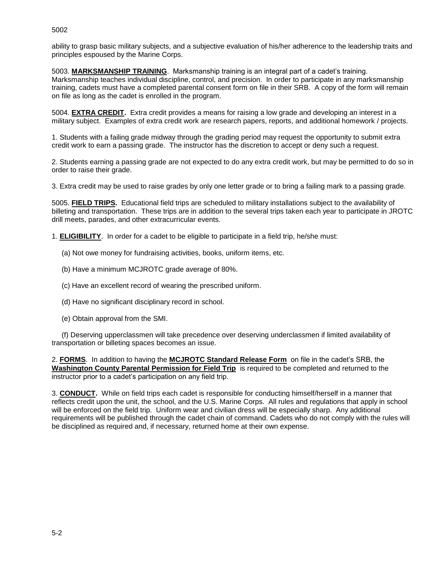ability to grasp basic military subjects, and a subjective evaluation of his/her adherence to the leadership traits and principles espoused by the Marine Corps.

5003. **MARKSMANSHIP TRAINING**. Marksmanship training is an integral part of a cadet's training. Marksmanship teaches individual discipline, control, and precision. In order to participate in any marksmanship training, cadets must have a completed parental consent form on file in their SRB. A copy of the form will remain on file as long as the cadet is enrolled in the program.

5004. **EXTRA CREDIT.** Extra credit provides a means for raising a low grade and developing an interest in a military subject. Examples of extra credit work are research papers, reports, and additional homework / projects.

1. Students with a failing grade midway through the grading period may request the opportunity to submit extra credit work to earn a passing grade. The instructor has the discretion to accept or deny such a request.

2. Students earning a passing grade are not expected to do any extra credit work, but may be permitted to do so in order to raise their grade.

3. Extra credit may be used to raise grades by only one letter grade or to bring a failing mark to a passing grade.

5005. **FIELD TRIPS.** Educational field trips are scheduled to military installations subject to the availability of billeting and transportation. These trips are in addition to the several trips taken each year to participate in JROTC drill meets, parades, and other extracurricular events.

1. **ELIGIBILITY**. In order for a cadet to be eligible to participate in a field trip, he/she must:

- (a) Not owe money for fundraising activities, books, uniform items, etc.
- (b) Have a minimum MCJROTC grade average of 80%.
- (c) Have an excellent record of wearing the prescribed uniform.
- (d) Have no significant disciplinary record in school.
- (e) Obtain approval from the SMI.

 (f) Deserving upperclassmen will take precedence over deserving underclassmen if limited availability of transportation or billeting spaces becomes an issue.

2. **FORMS**. In addition to having the **MCJROTC Standard Release Form** on file in the cadet's SRB, the **Washington County Parental Permission for Field Trip** is required to be completed and returned to the instructor prior to a cadet's participation on any field trip.

3. **CONDUCT.** While on field trips each cadet is responsible for conducting himself/herself in a manner that reflects credit upon the unit, the school, and the U.S. Marine Corps. All rules and regulations that apply in school will be enforced on the field trip. Uniform wear and civilian dress will be especially sharp. Any additional requirements will be published through the cadet chain of command. Cadets who do not comply with the rules will be disciplined as required and, if necessary, returned home at their own expense.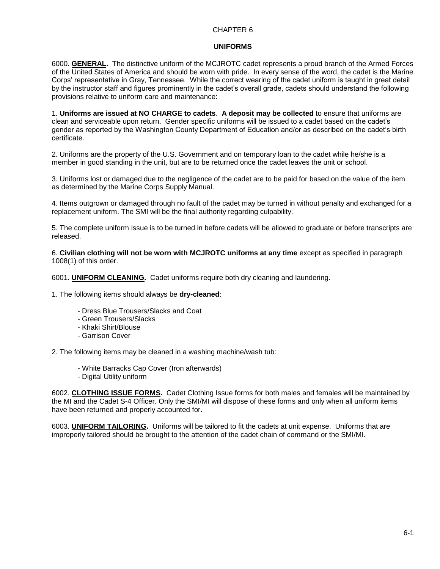# **UNIFORMS**

6000. **GENERAL.** The distinctive uniform of the MCJROTC cadet represents a proud branch of the Armed Forces of the United States of America and should be worn with pride. In every sense of the word, the cadet is the Marine Corps' representative in Gray, Tennessee. While the correct wearing of the cadet uniform is taught in great detail by the instructor staff and figures prominently in the cadet's overall grade, cadets should understand the following provisions relative to uniform care and maintenance:

1. **Uniforms are issued at NO CHARGE to cadets**. **A deposit may be collected** to ensure that uniforms are clean and serviceable upon return. Gender specific uniforms will be issued to a cadet based on the cadet's gender as reported by the Washington County Department of Education and/or as described on the cadet's birth certificate.

2. Uniforms are the property of the U.S. Government and on temporary loan to the cadet while he/she is a member in good standing in the unit, but are to be returned once the cadet leaves the unit or school.

3. Uniforms lost or damaged due to the negligence of the cadet are to be paid for based on the value of the item as determined by the Marine Corps Supply Manual.

4. Items outgrown or damaged through no fault of the cadet may be turned in without penalty and exchanged for a replacement uniform. The SMI will be the final authority regarding culpability.

5. The complete uniform issue is to be turned in before cadets will be allowed to graduate or before transcripts are released.

6. **Civilian clothing will not be worn with MCJROTC uniforms at any time** except as specified in paragraph 1008(1) of this order.

6001. **UNIFORM CLEANING.** Cadet uniforms require both dry cleaning and laundering.

1. The following items should always be **dry-cleaned**:

- Dress Blue Trousers/Slacks and Coat
- Green Trousers/Slacks
- Khaki Shirt/Blouse
- Garrison Cover

2. The following items may be cleaned in a washing machine/wash tub:

- White Barracks Cap Cover (Iron afterwards)
- Digital Utility uniform

6002. **CLOTHING ISSUE FORMS.** Cadet Clothing Issue forms for both males and females will be maintained by the MI and the Cadet S-4 Officer. Only the SMI/MI will dispose of these forms and only when all uniform items have been returned and properly accounted for.

6003. **UNIFORM TAILORING.** Uniforms will be tailored to fit the cadets at unit expense. Uniforms that are improperly tailored should be brought to the attention of the cadet chain of command or the SMI/MI.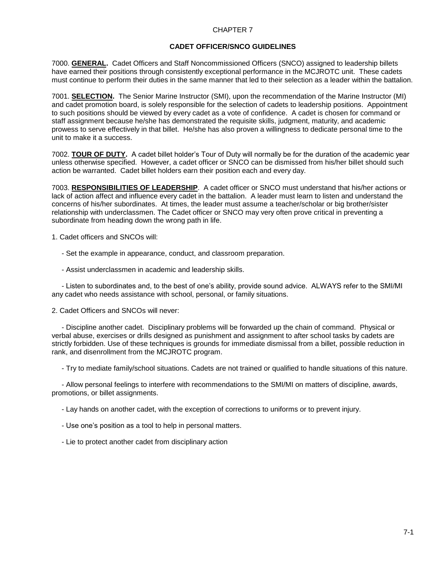# **CADET OFFICER/SNCO GUIDELINES**

7000. **GENERAL.** Cadet Officers and Staff Noncommissioned Officers (SNCO) assigned to leadership billets have earned their positions through consistently exceptional performance in the MCJROTC unit. These cadets must continue to perform their duties in the same manner that led to their selection as a leader within the battalion.

7001. **SELECTION.** The Senior Marine Instructor (SMI), upon the recommendation of the Marine Instructor (MI) and cadet promotion board, is solely responsible for the selection of cadets to leadership positions. Appointment to such positions should be viewed by every cadet as a vote of confidence. A cadet is chosen for command or staff assignment because he/she has demonstrated the requisite skills, judgment, maturity, and academic prowess to serve effectively in that billet. He/she has also proven a willingness to dedicate personal time to the unit to make it a success.

7002. **TOUR OF DUTY.** A cadet billet holder's Tour of Duty will normally be for the duration of the academic year unless otherwise specified. However, a cadet officer or SNCO can be dismissed from his/her billet should such action be warranted. Cadet billet holders earn their position each and every day.

7003. **RESPONSIBILITIES OF LEADERSHIP**. A cadet officer or SNCO must understand that his/her actions or lack of action affect and influence every cadet in the battalion. A leader must learn to listen and understand the concerns of his/her subordinates. At times, the leader must assume a teacher/scholar or big brother/sister relationship with underclassmen. The Cadet officer or SNCO may very often prove critical in preventing a subordinate from heading down the wrong path in life.

1. Cadet officers and SNCOs will:

- Set the example in appearance, conduct, and classroom preparation.

- Assist underclassmen in academic and leadership skills.

 - Listen to subordinates and, to the best of one's ability, provide sound advice. ALWAYS refer to the SMI/MI any cadet who needs assistance with school, personal, or family situations.

2. Cadet Officers and SNCOs will never:

 - Discipline another cadet. Disciplinary problems will be forwarded up the chain of command. Physical or verbal abuse, exercises or drills designed as punishment and assignment to after school tasks by cadets are strictly forbidden. Use of these techniques is grounds for immediate dismissal from a billet, possible reduction in rank, and disenrollment from the MCJROTC program.

- Try to mediate family/school situations. Cadets are not trained or qualified to handle situations of this nature.

 - Allow personal feelings to interfere with recommendations to the SMI/MI on matters of discipline, awards, promotions, or billet assignments.

- Lay hands on another cadet, with the exception of corrections to uniforms or to prevent injury.

- Use one's position as a tool to help in personal matters.

- Lie to protect another cadet from disciplinary action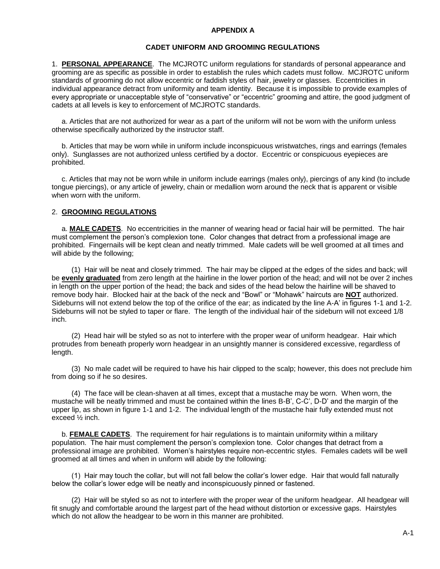#### **APPENDIX A**

# **CADET UNIFORM AND GROOMING REGULATIONS**

1. **PERSONAL APPEARANCE**. The MCJROTC uniform regulations for standards of personal appearance and grooming are as specific as possible in order to establish the rules which cadets must follow. MCJROTC uniform standards of grooming do not allow eccentric or faddish styles of hair, jewelry or glasses. Eccentricities in individual appearance detract from uniformity and team identity. Because it is impossible to provide examples of every appropriate or unacceptable style of "conservative" or "eccentric" grooming and attire, the good judgment of cadets at all levels is key to enforcement of MCJROTC standards.

 a. Articles that are not authorized for wear as a part of the uniform will not be worn with the uniform unless otherwise specifically authorized by the instructor staff.

 b. Articles that may be worn while in uniform include inconspicuous wristwatches, rings and earrings (females only). Sunglasses are not authorized unless certified by a doctor. Eccentric or conspicuous eyepieces are prohibited.

 c. Articles that may not be worn while in uniform include earrings (males only), piercings of any kind (to include tongue piercings), or any article of jewelry, chain or medallion worn around the neck that is apparent or visible when worn with the uniform.

#### 2. **GROOMING REGULATIONS**

 a. **MALE CADETS**. No eccentricities in the manner of wearing head or facial hair will be permitted. The hair must complement the person's complexion tone. Color changes that detract from a professional image are prohibited. Fingernails will be kept clean and neatly trimmed. Male cadets will be well groomed at all times and will abide by the following;

 (1) Hair will be neat and closely trimmed. The hair may be clipped at the edges of the sides and back; will be **evenly graduated** from zero length at the hairline in the lower portion of the head; and will not be over 2 inches in length on the upper portion of the head; the back and sides of the head below the hairline will be shaved to remove body hair. Blocked hair at the back of the neck and "Bowl" or "Mohawk" haircuts are **NOT** authorized. Sideburns will not extend below the top of the orifice of the ear; as indicated by the line A-A' in figures 1-1 and 1-2. Sideburns will not be styled to taper or flare. The length of the individual hair of the sideburn will not exceed 1/8 inch.

 (2) Head hair will be styled so as not to interfere with the proper wear of uniform headgear. Hair which protrudes from beneath properly worn headgear in an unsightly manner is considered excessive, regardless of length.

 (3) No male cadet will be required to have his hair clipped to the scalp; however, this does not preclude him from doing so if he so desires.

 (4) The face will be clean-shaven at all times, except that a mustache may be worn. When worn, the mustache will be neatly trimmed and must be contained within the lines B-B', C-C', D-D' and the margin of the upper lip, as shown in figure 1-1 and 1-2. The individual length of the mustache hair fully extended must not exceed ½ inch.

 b. **FEMALE CADETS**. The requirement for hair regulations is to maintain uniformity within a military population. The hair must complement the person's complexion tone. Color changes that detract from a professional image are prohibited. Women's hairstyles require non-eccentric styles. Females cadets will be well groomed at all times and when in uniform will abide by the following:

 (1) Hair may touch the collar, but will not fall below the collar's lower edge. Hair that would fall naturally below the collar's lower edge will be neatly and inconspicuously pinned or fastened.

 (2) Hair will be styled so as not to interfere with the proper wear of the uniform headgear. All headgear will fit snugly and comfortable around the largest part of the head without distortion or excessive gaps. Hairstyles which do not allow the headgear to be worn in this manner are prohibited.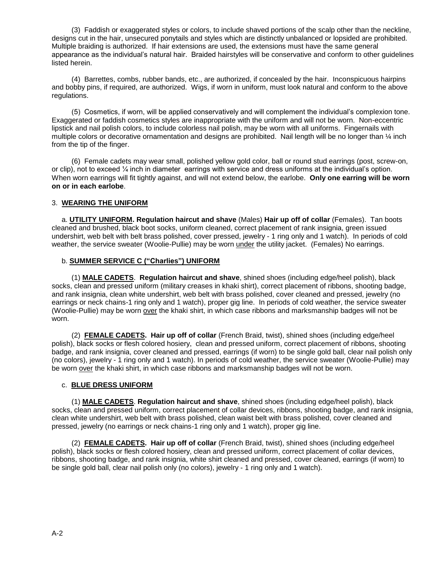(3) Faddish or exaggerated styles or colors, to include shaved portions of the scalp other than the neckline, designs cut in the hair, unsecured ponytails and styles which are distinctly unbalanced or lopsided are prohibited. Multiple braiding is authorized. If hair extensions are used, the extensions must have the same general appearance as the individual's natural hair. Braided hairstyles will be conservative and conform to other guidelines listed herein.

 (4) Barrettes, combs, rubber bands, etc., are authorized, if concealed by the hair. Inconspicuous hairpins and bobby pins, if required, are authorized. Wigs, if worn in uniform, must look natural and conform to the above regulations.

 (5) Cosmetics, if worn, will be applied conservatively and will complement the individual's complexion tone. Exaggerated or faddish cosmetics styles are inappropriate with the uniform and will not be worn. Non-eccentric lipstick and nail polish colors, to include colorless nail polish, may be worn with all uniforms. Fingernails with multiple colors or decorative ornamentation and designs are prohibited. Nail length will be no longer than ¼ inch from the tip of the finger.

 (6) Female cadets may wear small, polished yellow gold color, ball or round stud earrings (post, screw-on, or clip), not to exceed ¼ inch in diameter earrings with service and dress uniforms at the individual's option. When worn earrings will fit tightly against, and will not extend below, the earlobe. **Only one earring will be worn on or in each earlobe**.

# 3. **WEARING THE UNIFORM**

 a. **UTILITY UNIFORM. Regulation haircut and shave** (Males) **Hair up off of collar** (Females). Tan boots cleaned and brushed, black boot socks, uniform cleaned, correct placement of rank insignia, green issued undershirt, web belt with belt brass polished, cover pressed, jewelry - 1 ring only and 1 watch). In periods of cold weather, the service sweater (Woolie-Pullie) may be worn under the utility jacket. (Females) No earrings.

# b. **SUMMER SERVICE C ("Charlies") UNIFORM**

 (1) **MALE CADETS**. **Regulation haircut and shave**, shined shoes (including edge/heel polish), black socks, clean and pressed uniform (military creases in khaki shirt), correct placement of ribbons, shooting badge, and rank insignia, clean white undershirt, web belt with brass polished, cover cleaned and pressed, jewelry (no earrings or neck chains-1 ring only and 1 watch), proper gig line. In periods of cold weather, the service sweater (Woolie-Pullie) may be worn over the khaki shirt, in which case ribbons and marksmanship badges will not be worn.

 (2) **FEMALE CADETS. Hair up off of collar** (French Braid, twist), shined shoes (including edge/heel polish), black socks or flesh colored hosiery, clean and pressed uniform, correct placement of ribbons, shooting badge, and rank insignia, cover cleaned and pressed, earrings (if worn) to be single gold ball, clear nail polish only (no colors), jewelry - 1 ring only and 1 watch). In periods of cold weather, the service sweater (Woolie-Pullie) may be worn over the khaki shirt, in which case ribbons and marksmanship badges will not be worn.

# c. **BLUE DRESS UNIFORM**

 (1) **MALE CADETS**. **Regulation haircut and shave**, shined shoes (including edge/heel polish), black socks, clean and pressed uniform, correct placement of collar devices, ribbons, shooting badge, and rank insignia, clean white undershirt, web belt with brass polished, clean waist belt with brass polished, cover cleaned and pressed, jewelry (no earrings or neck chains-1 ring only and 1 watch), proper gig line.

 (2) **FEMALE CADETS. Hair up off of collar** (French Braid, twist), shined shoes (including edge/heel polish), black socks or flesh colored hosiery, clean and pressed uniform, correct placement of collar devices, ribbons, shooting badge, and rank insignia, white shirt cleaned and pressed, cover cleaned, earrings (if worn) to be single gold ball, clear nail polish only (no colors), jewelry - 1 ring only and 1 watch).